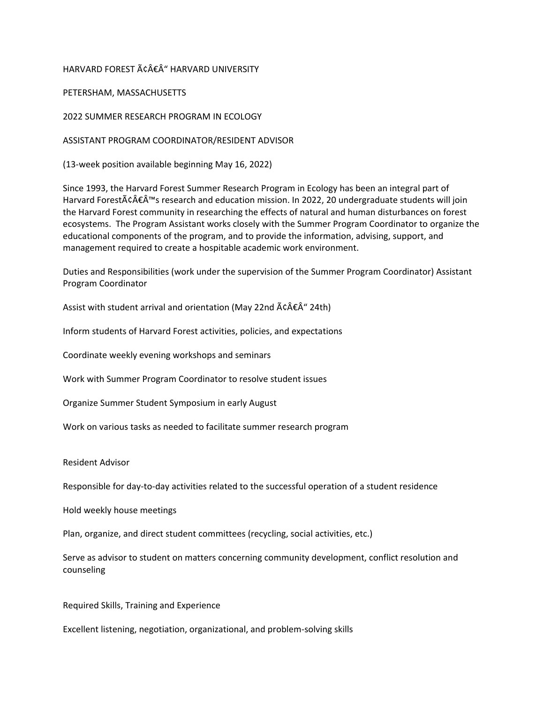### HARVARD FOREST â€Â" HARVARD UNIVERSITY

### PETERSHAM, MASSACHUSETTS

2022 SUMMER RESEARCH PROGRAM IN ECOLOGY

#### ASSISTANT PROGRAM COORDINATOR/RESIDENT ADVISOR

(13-week position available beginning May 16, 2022)

Since 1993, the Harvard Forest Summer Research Program in Ecology has been an integral part of Harvard Forest $\tilde{A} \tilde{c} \hat{A} \tilde{f}^{\text{max}}$ s research and education mission. In 2022, 20 undergraduate students will join the Harvard Forest community in researching the effects of natural and human disturbances on forest ecosystems. The Program Assistant works closely with the Summer Program Coordinator to organize the educational components of the program, and to provide the information, advising, support, and management required to create a hospitable academic work environment.

Duties and Responsibilities (work under the supervision of the Summer Program Coordinator) Assistant Program Coordinator

Assist with student arrival and orientation (May 22nd  $\tilde{A} \tilde{A} \tilde{A}^{\prime\prime}$  24th)

Inform students of Harvard Forest activities, policies, and expectations

Coordinate weekly evening workshops and seminars

Work with Summer Program Coordinator to resolve student issues

Organize Summer Student Symposium in early August

Work on various tasks as needed to facilitate summer research program

#### Resident Advisor

Responsible for day-to-day activities related to the successful operation of a student residence

Hold weekly house meetings

Plan, organize, and direct student committees (recycling, social activities, etc.)

Serve as advisor to student on matters concerning community development, conflict resolution and counseling

Required Skills, Training and Experience

Excellent listening, negotiation, organizational, and problem-solving skills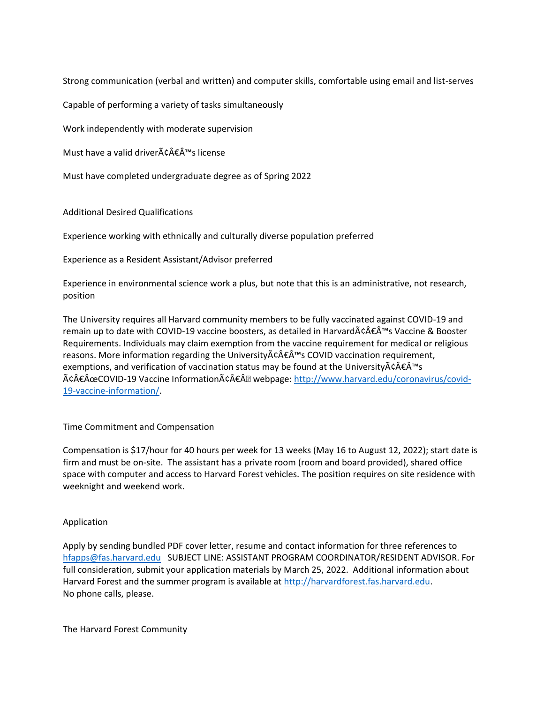Strong communication (verbal and written) and computer skills, comfortable using email and list-serves

Capable of performing a variety of tasks simultaneously

Work independently with moderate supervision

Must have a valid driver $\tilde{A} \hat{c} \hat{A} \hat{\epsilon} \hat{A}^{\text{TM}}$ s license

Must have completed undergraduate degree as of Spring 2022

Additional Desired Qualifications

Experience working with ethnically and culturally diverse population preferred

Experience as a Resident Assistant/Advisor preferred

Experience in environmental science work a plus, but note that this is an administrative, not research, position

The University requires all Harvard community members to be fully vaccinated against COVID-19 and remain up to date with COVID-19 vaccine boosters, as detailed in Harvard $\tilde{A} \hat{c} \hat{A} \tilde{f}^{\text{max}}$ s Vaccine & Booster Requirements. Individuals may claim exemption from the vaccine requirement for medical or religious reasons. More information regarding the University $\tilde{A} \in \hat{A}^{\text{TM}}$ s COVID vaccination requirement, exemptions, and verification of vaccination status may be found at the University $\tilde{A}\epsilon\hat{A}\epsilon\hat{A}^{\text{TM}}$ s "COVID-19 Vaccine Informationâ€Â• webpage: [http://www.harvard.edu/coronavirus/covid-](http://www.harvard.edu/coronavirus/covid-19-vaccine-information/)[19-vaccine-information/.](http://www.harvard.edu/coronavirus/covid-19-vaccine-information/)

# Time Commitment and Compensation

Compensation is \$17/hour for 40 hours per week for 13 weeks (May 16 to August 12, 2022); start date is firm and must be on-site. The assistant has a private room (room and board provided), shared office space with computer and access to Harvard Forest vehicles. The position requires on site residence with weeknight and weekend work.

# Application

Apply by sending bundled PDF cover letter, resume and contact information for three references to [hfapps@fas.harvard.edu](mailto:hfapps@fas.harvard.edu) SUBJECT LINE: ASSISTANT PROGRAM COORDINATOR/RESIDENT ADVISOR. For full consideration, submit your application materials by March 25, 2022. Additional information about Harvard Forest and the summer program is available at [http://harvardforest.fas.harvard.edu.](http://harvardforest.fas.harvard.edu/) No phone calls, please.

The Harvard Forest Community